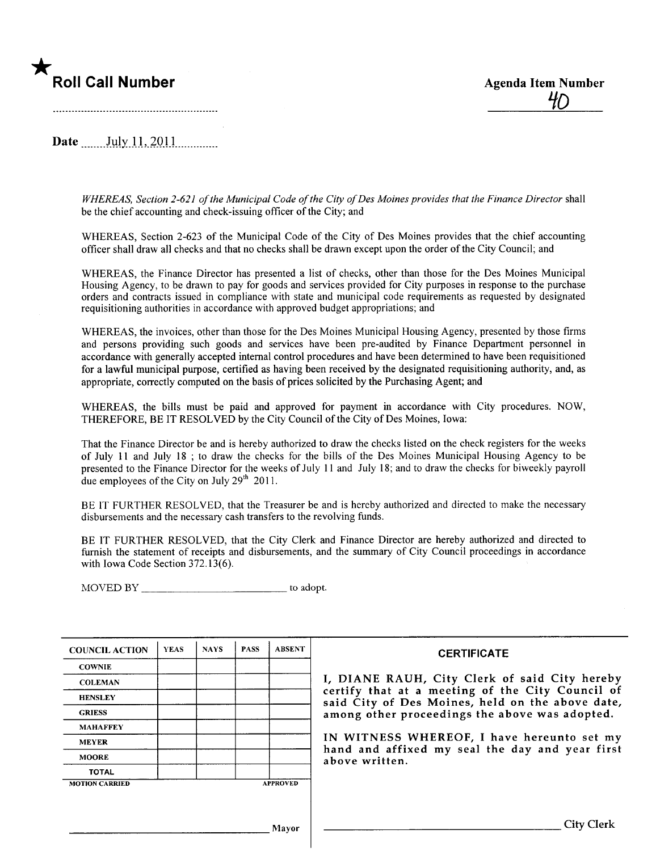# \* **Roll Call Number** Agenda Item Number

Date ........ I~lY. -i -i ,.2s).l. l....... .......

WHEREAS, Section 2-621 of the Municipal Code of the City of Des Moines provides that the Finance Director shall be the chief accounting and check-issuing officer of the City; and

WHEREAS, Section 2-623 of the Municipal Code of the City of Des Moines provides that the chief accounting offcer shall draw all checks and that no checks shall be drawn except upon the order of the City Council; and

WHEREAS, the Finance Director has presented a list of checks, other than those for the Des Moines Municipal Housing Agency, to be drawn to pay for goods and services provided for City purposes in response to the purchase orders and contracts issued in compliance with state and municipal code requirements as requested by designated requisitioning authorities in accordance with approved budget appropriations; and

WHEREAS, the invoices, other than those for the Des Moines Municipal Housing Agency, presented by those firms and persons providing such goods and services have been pre-audited by Finance Department personnel in accordance with generally accepted internal control procedures and have been determined to have been requisitioned for a lawful municipal purose, certified as having been received by the designated requisitioning authority, and, as appropriate, correctly computed on the basis of prices solicited by the Purchasing Agent; and

WHEREAS, the bils must be paid and approved for payment in accordance with City procedures. NOW, THEREFORE, BE IT RESOLVED by the City Council of the City of Des Moines, Iowa:

That the Finance Director be and is hereby authorized to draw the checks listed on the check registers for the weeks of July 11 and July 18 ; to draw the checks for the bils of the Des Moines Municipal Housing Agency to be presented to the Finance Director for the weeks of July 11 and July 18; and to draw the checks for biweekly payroll due employees of the City on July  $29<sup>th</sup>$  2011.

BE IT FURTHER RESOLVED, that the Treasurer be and is hereby authorized and directed to make the necessary disbursements and the necessary cash transfers to the revolving funds.

BE IT FURTHER RESOLVED, that the City Clerk and Finance Director are hereby authorized and directed to furnish the statement of receipts and disbursements, and the summary of City Council proceedings in accordance with Iowa Code Section 372.13(6).

MOVED BY to adopt.

| <b>COUNCIL ACTION</b> | <b>YEAS</b> | <b>NAYS</b> | <b>PASS</b> | <b>ABSENT</b>   | <b>CERTIFICATE</b>                                                                                   |  |
|-----------------------|-------------|-------------|-------------|-----------------|------------------------------------------------------------------------------------------------------|--|
| <b>COWNIE</b>         |             |             |             |                 |                                                                                                      |  |
| <b>COLEMAN</b>        |             |             |             |                 | I, DIANE RAUH, City Clerk of said City hereby                                                        |  |
| <b>HENSLEY</b>        |             |             |             |                 | certify that at a meeting of the City Council of<br>said City of Des Moines, held on the above date, |  |
| <b>GRIESS</b>         |             |             |             |                 | among other proceedings the above was adopted.                                                       |  |
| <b>MAHAFFEY</b>       |             |             |             |                 |                                                                                                      |  |
| <b>MEYER</b>          |             |             |             |                 | IN WITNESS WHEREOF, I have hereunto set my                                                           |  |
| <b>MOORE</b>          |             |             |             |                 | hand and affixed my seal the day and year first<br>above written.                                    |  |
| <b>TOTAL</b>          |             |             |             |                 |                                                                                                      |  |
| <b>MOTION CARRIED</b> |             |             |             | <b>APPROVED</b> |                                                                                                      |  |
|                       |             |             |             |                 |                                                                                                      |  |
|                       |             |             |             |                 |                                                                                                      |  |
| Mayor                 |             |             |             |                 | <b>City Clerk</b>                                                                                    |  |
|                       |             |             |             |                 |                                                                                                      |  |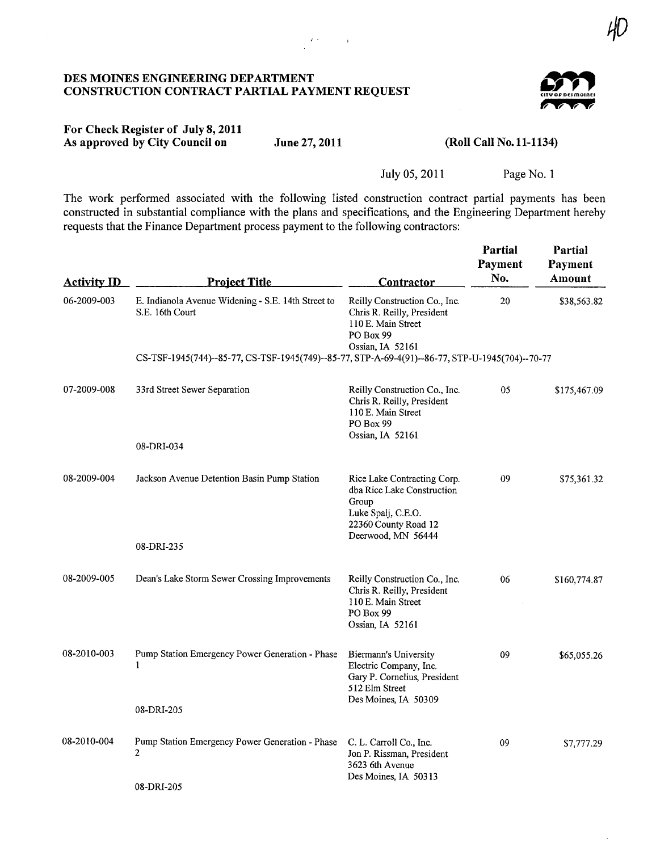#### DES MOINES ENGINEERING DEPARTMENT CONSTRUCTION CONTRACT PARTIAL PAYMENT REQUEST



 ${\cal H}$ 

## For Check Register of July 8,2011 As approved by City Council on

 $\frac{1}{2} \sum_{i=1}^{n} \frac{1}{2} \sum_{j=1}^{n} \frac{1}{2} \sum_{j=1}^{n} \frac{1}{2} \sum_{j=1}^{n} \frac{1}{2} \sum_{j=1}^{n} \frac{1}{2} \sum_{j=1}^{n} \frac{1}{2} \sum_{j=1}^{n} \frac{1}{2} \sum_{j=1}^{n} \frac{1}{2} \sum_{j=1}^{n} \frac{1}{2} \sum_{j=1}^{n} \frac{1}{2} \sum_{j=1}^{n} \frac{1}{2} \sum_{j=1}^{n} \frac{1}{2} \sum_{j=1}^{n$ 

## June 27, 2011 (Roll Call No. 11-1134)

July 05, 2011 Page No. 1

The work performed associated with the following listed construction contract parial payrnents has been constructed in substantial compliance with the plans and specifications, and the Engineering Department hereby requests that the Finance Department process payment to the following contractors:

| <b>Activity ID</b> | <b>Project Title</b>                                                                            | <b>Contractor</b>                                                                                                                      | <b>Partial</b><br>Payment<br>No. | Partial<br>Payment<br>Amount |  |  |  |  |  |
|--------------------|-------------------------------------------------------------------------------------------------|----------------------------------------------------------------------------------------------------------------------------------------|----------------------------------|------------------------------|--|--|--|--|--|
| 06-2009-003        | E. Indianola Avenue Widening - S.E. 14th Street to<br>S.E. 16th Court                           | Reilly Construction Co., Inc.<br>Chris R. Reilly, President<br>110 E. Main Street<br>PO Box 99<br>Ossian, IA 52161                     | 20                               | \$38,563.82                  |  |  |  |  |  |
|                    | CS-TSF-1945(744)--85-77, CS-TSF-1945(749)--85-77, STP-A-69-4(91)--86-77, STP-U-1945(704)--70-77 |                                                                                                                                        |                                  |                              |  |  |  |  |  |
| 07-2009-008        | 33rd Street Sewer Separation                                                                    | Reilly Construction Co., Inc.<br>Chris R. Reilly, President<br>110 E. Main Street<br>PO Box 99<br>Ossian, IA 52161                     | 05                               | \$175,467.09                 |  |  |  |  |  |
|                    | 08-DRI-034                                                                                      |                                                                                                                                        |                                  |                              |  |  |  |  |  |
| 08-2009-004        | Jackson Avenue Detention Basin Pump Station                                                     | Rice Lake Contracting Corp.<br>dba Rice Lake Construction<br>Group<br>Luke Spalj, C.E.O.<br>22360 County Road 12<br>Deerwood, MN 56444 | 09                               | \$75,361.32                  |  |  |  |  |  |
|                    | 08-DRI-235                                                                                      |                                                                                                                                        |                                  |                              |  |  |  |  |  |
| 08-2009-005        | Dean's Lake Storm Sewer Crossing Improvements                                                   | Reilly Construction Co., Inc.<br>Chris R. Reilly, President<br>110 E. Main Street<br>PO Box 99<br>Ossian, IA 52161                     | 06                               | \$160,774.87                 |  |  |  |  |  |
| 08-2010-003        | Pump Station Emergency Power Generation - Phase<br>1                                            | Biermann's University<br>Electric Company, Inc.<br>Gary P. Cornelius, President<br>512 Elm Street<br>Des Moines, IA 50309              | 09                               | \$65,055.26                  |  |  |  |  |  |
|                    | 08-DRI-205                                                                                      |                                                                                                                                        |                                  |                              |  |  |  |  |  |
| 08-2010-004        | Pump Station Emergency Power Generation - Phase<br>$\overline{2}$<br>08-DRI-205                 | C. L. Carroll Co., Inc.<br>Jon P. Rissman, President<br>3623 6th Avenue<br>Des Moines, IA 50313                                        | 09                               | \$7,777.29                   |  |  |  |  |  |